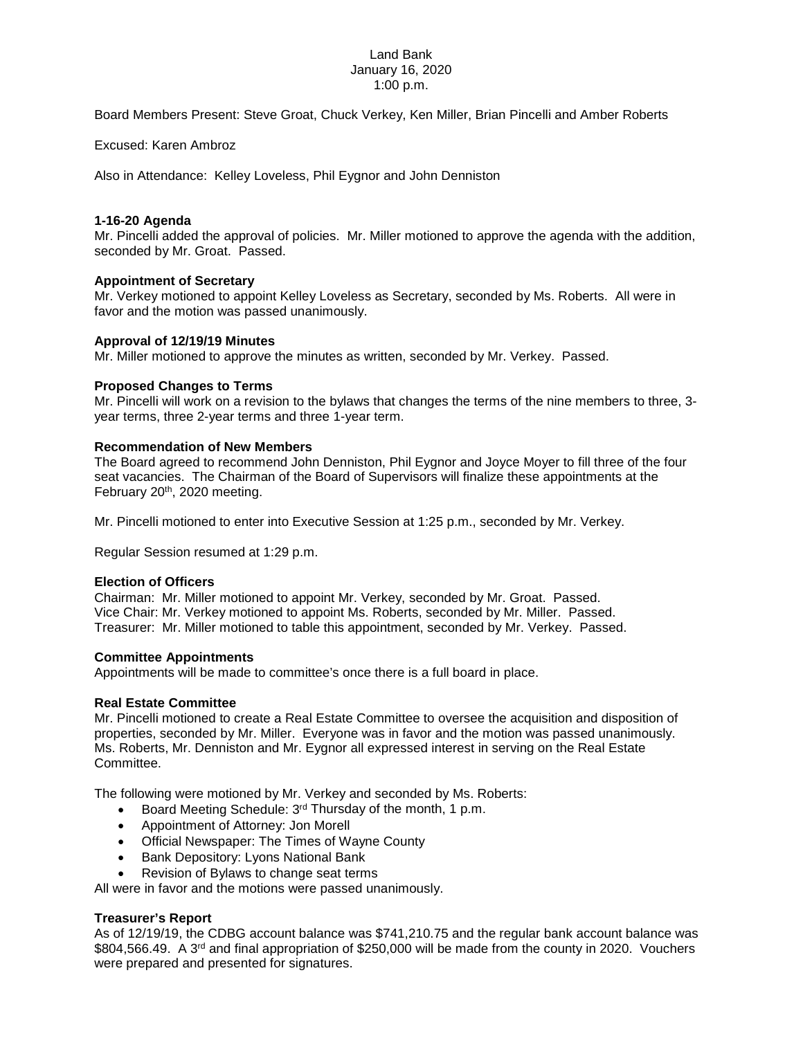### Land Bank January 16, 2020 1:00 p.m.

Board Members Present: Steve Groat, Chuck Verkey, Ken Miller, Brian Pincelli and Amber Roberts

Excused: Karen Ambroz

Also in Attendance: Kelley Loveless, Phil Eygnor and John Denniston

# **1-16-20 Agenda**

Mr. Pincelli added the approval of policies. Mr. Miller motioned to approve the agenda with the addition, seconded by Mr. Groat. Passed.

# **Appointment of Secretary**

Mr. Verkey motioned to appoint Kelley Loveless as Secretary, seconded by Ms. Roberts. All were in favor and the motion was passed unanimously.

# **Approval of 12/19/19 Minutes**

Mr. Miller motioned to approve the minutes as written, seconded by Mr. Verkey. Passed.

# **Proposed Changes to Terms**

Mr. Pincelli will work on a revision to the bylaws that changes the terms of the nine members to three, 3 year terms, three 2-year terms and three 1-year term.

### **Recommendation of New Members**

The Board agreed to recommend John Denniston, Phil Eygnor and Joyce Moyer to fill three of the four seat vacancies. The Chairman of the Board of Supervisors will finalize these appointments at the February 20<sup>th</sup>, 2020 meeting.

Mr. Pincelli motioned to enter into Executive Session at 1:25 p.m., seconded by Mr. Verkey.

Regular Session resumed at 1:29 p.m.

### **Election of Officers**

Chairman: Mr. Miller motioned to appoint Mr. Verkey, seconded by Mr. Groat. Passed. Vice Chair: Mr. Verkey motioned to appoint Ms. Roberts, seconded by Mr. Miller. Passed. Treasurer: Mr. Miller motioned to table this appointment, seconded by Mr. Verkey. Passed.

### **Committee Appointments**

Appointments will be made to committee's once there is a full board in place.

### **Real Estate Committee**

Mr. Pincelli motioned to create a Real Estate Committee to oversee the acquisition and disposition of properties, seconded by Mr. Miller. Everyone was in favor and the motion was passed unanimously. Ms. Roberts, Mr. Denniston and Mr. Eygnor all expressed interest in serving on the Real Estate Committee.

The following were motioned by Mr. Verkey and seconded by Ms. Roberts:

- Board Meeting Schedule: 3<sup>rd</sup> Thursday of the month, 1 p.m.
- Appointment of Attorney: Jon Morell
- Official Newspaper: The Times of Wayne County
- Bank Depository: Lyons National Bank
- Revision of Bylaws to change seat terms

All were in favor and the motions were passed unanimously.

### **Treasurer's Report**

As of 12/19/19, the CDBG account balance was \$741,210.75 and the regular bank account balance was \$804,566.49. A 3<sup>rd</sup> and final appropriation of \$250,000 will be made from the county in 2020. Vouchers were prepared and presented for signatures.